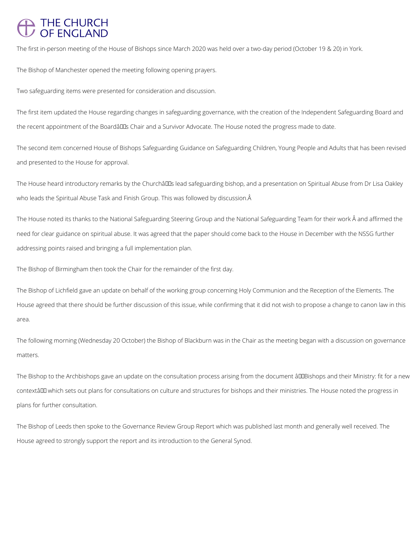## THE CHURCH<br>OF ENGLAND

The first in-person meeting of the House of Bishops since March 2020 was held over a two-day period (October 19 & 20) in York.

The first item updated the House regarding changes in safeguarding governance, with the creation of the Independent Safeguarding Board and the recent appointment of the Boardâlles Chair and a Survivor Advocate. The House noted the progress made to date.

The Bishop of Manchester opened the meeting following opening prayers.

Two safeguarding items were presented for consideration and discussion.

The second item concerned House of Bishops Safeguarding Guidance on Safeguarding Children, Young People and Adults that has been revised and presented to the House for approval.

The House heard introductory remarks by the Churchâll Ds lead safeguarding bishop, and a presentation on Spiritual Abuse from Dr Lisa Oakley who leads the Spiritual Abuse Task and Finish Group. This was followed by discussion. Â

The House noted its thanks to the National Safeguarding Steering Group and the National Safeguarding Team for their work  $\hat{A}$  and affirmed the need for clear guidance on spiritual abuse. It was agreed that the paper should come back to the House in December with the NSSG further addressing points raised and bringing a full implementation plan.

The Bishop to the Archbishops gave an update on the consultation process arising from the document âDDBishops and their Ministry: fit for a new contextâ which sets out plans for consultations on culture and structures for bishops and their ministries. The House noted the progress in

The Bishop of Birmingham then took the Chair for the remainder of the first day.

The Bishop of Lichfield gave an update on behalf of the working group concerning Holy Communion and the Reception of the Elements. The House agreed that there should be further discussion of this issue, while confirming that it did not wish to propose a change to canon law in this area.

The following morning (Wednesday 20 October) the Bishop of Blackburn was in the Chair as the meeting began with a discussion on governance matters.

The Bishop of Leeds then spoke to the Governance Review Group Report which was published last month and generally well received. The

House agreed to strongly support the report and its introduction to the General Synod.